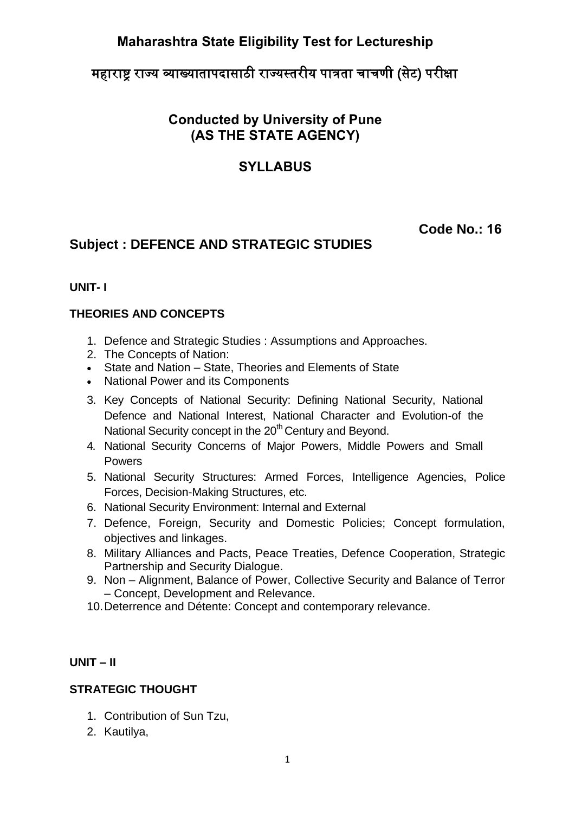# **Maharashtra State Eligibility Test for Lectureship**

# महाराष्ट्र राज्य व्याख्यातापदासाठी राज्यस्तरीय पात्रता चाचणी (सेट) परीक्षा

# **Conducted by University of Pune (AS THE STATE AGENCY)**

## **SYLLABUS**

## **Code No.: 16**

# **Subject : DEFENCE AND STRATEGIC STUDIES**

#### **UNIT- I**

#### **THEORIES AND CONCEPTS**

- 1. Defence and Strategic Studies : Assumptions and Approaches.
- 2. The Concepts of Nation:
- State and Nation State, Theories and Elements of State
- National Power and its Components
- 3. Key Concepts of National Security: Defining National Security, National Defence and National Interest, National Character and Evolution-of the National Security concept in the 20<sup>th</sup> Century and Beyond.
- 4. National Security Concerns of Major Powers, Middle Powers and Small Powers
- 5. National Security Structures: Armed Forces, Intelligence Agencies, Police Forces, Decision-Making Structures, etc.
- 6. National Security Environment: Internal and External
- 7. Defence, Foreign, Security and Domestic Policies; Concept formulation, objectives and linkages.
- 8. Military Alliances and Pacts, Peace Treaties, Defence Cooperation, Strategic Partnership and Security Dialogue.
- 9. Non Alignment, Balance of Power, Collective Security and Balance of Terror – Concept, Development and Relevance.
- 10. Deterrence and Détente: Concept and contemporary relevance.

#### **UNIT – II**

## **STRATEGIC THOUGHT**

- 1. Contribution of Sun Tzu,
- 2. Kautilya,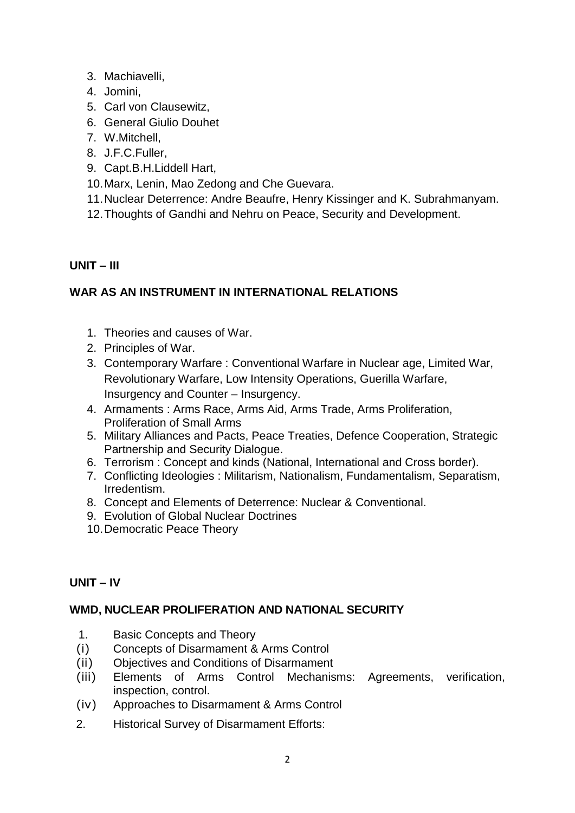- 3. Machiavelli,
- 4. Jomini,
- 5. Carl von Clausewitz,
- 6. General Giulio Douhet
- 7. W.Mitchell,
- 8. J.F.C.Fuller,
- 9. Capt.B.H.Liddell Hart,
- 10.Marx, Lenin, Mao Zedong and Che Guevara.
- 11.Nuclear Deterrence: Andre Beaufre, Henry Kissinger and K. Subrahmanyam.
- 12.Thoughts of Gandhi and Nehru on Peace, Security and Development.

## **UNIT – III**

## **WAR AS AN INSTRUMENT IN INTERNATIONAL RELATIONS**

- 1. Theories and causes of War.
- 2. Principles of War.
- 3. Contemporary Warfare : Conventional Warfare in Nuclear age, Limited War, Revolutionary Warfare, Low Intensity Operations, Guerilla Warfare, Insurgency and Counter – Insurgency.
- 4. Armaments : Arms Race, Arms Aid, Arms Trade, Arms Proliferation, Proliferation of Small Arms
- 5. Military Alliances and Pacts, Peace Treaties, Defence Cooperation, Strategic Partnership and Security Dialogue.
- 6. Terrorism : Concept and kinds (National, International and Cross border).
- 7. Conflicting Ideologies : Militarism, Nationalism, Fundamentalism, Separatism, Irredentism.
- 8. Concept and Elements of Deterrence: Nuclear & Conventional.
- 9. Evolution of Global Nuclear Doctrines
- 10.Democratic Peace Theory

## **UNIT – IV**

## **WMD, NUCLEAR PROLIFERATION AND NATIONAL SECURITY**

- 1. Basic Concepts and Theory
- (i) Concepts of Disarmament & Arms Control
- (ii) Objectives and Conditions of Disarmament
- (iii) Elements of Arms Control Mechanisms: Agreements, verification, inspection, control.
- (iv) Approaches to Disarmament & Arms Control
- 2. Historical Survey of Disarmament Efforts: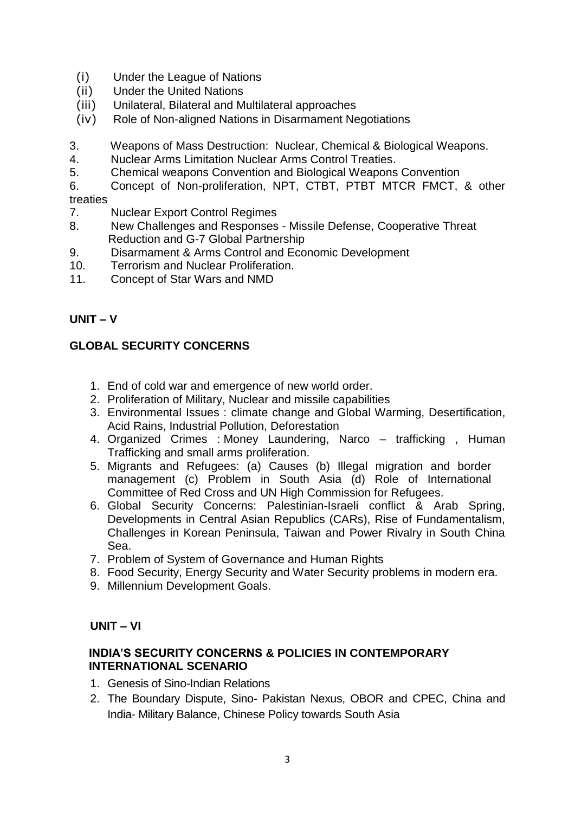- (i) Under the League of Nations
- (ii) Under the United Nations
- (iii) Unilateral, Bilateral and Multilateral approaches
- (iv) Role of Non-aligned Nations in Disarmament Negotiations
- 3. Weapons of Mass Destruction: Nuclear, Chemical & Biological Weapons.
- 4. Nuclear Arms Limitation Nuclear Arms Control Treaties.
- 5. Chemical weapons Convention and Biological Weapons Convention
- 6. Concept of Non-proliferation, NPT, CTBT, PTBT MTCR FMCT, & other treaties
- 7. Nuclear Export Control Regimes
- 8. New Challenges and Responses Missile Defense, Cooperative Threat Reduction and G-7 Global Partnership
- 9. Disarmament & Arms Control and Economic Development
- 10. Terrorism and Nuclear Proliferation.
- 11. Concept of Star Wars and NMD

#### **UNIT – V**

### **GLOBAL SECURITY CONCERNS**

- 1. End of cold war and emergence of new world order.
- 2. Proliferation of Military, Nuclear and missile capabilities
- 3. Environmental Issues : climate change and Global Warming, Desertification, Acid Rains, Industrial Pollution, Deforestation
- 4. Organized Crimes : Money Laundering, Narco trafficking , Human Trafficking and small arms proliferation.
- 5. Migrants and Refugees: (a) Causes (b) Illegal migration and border management (c) Problem in South Asia (d) Role of International Committee of Red Cross and UN High Commission for Refugees.
- 6. Global Security Concerns: Palestinian-Israeli conflict & Arab Spring, Developments in Central Asian Republics (CARs), Rise of Fundamentalism, Challenges in Korean Peninsula, Taiwan and Power Rivalry in South China Sea.
- 7. Problem of System of Governance and Human Rights
- 8. Food Security, Energy Security and Water Security problems in modern era.
- 9. Millennium Development Goals.

#### **UNIT – VI**

#### **INDIA'S SECURITY CONCERNS & POLICIES IN CONTEMPORARY INTERNATIONAL SCENARIO**

- 1. Genesis of Sino-Indian Relations
- 2. The Boundary Dispute, Sino- Pakistan Nexus, OBOR and CPEC, China and India- Military Balance, Chinese Policy towards South Asia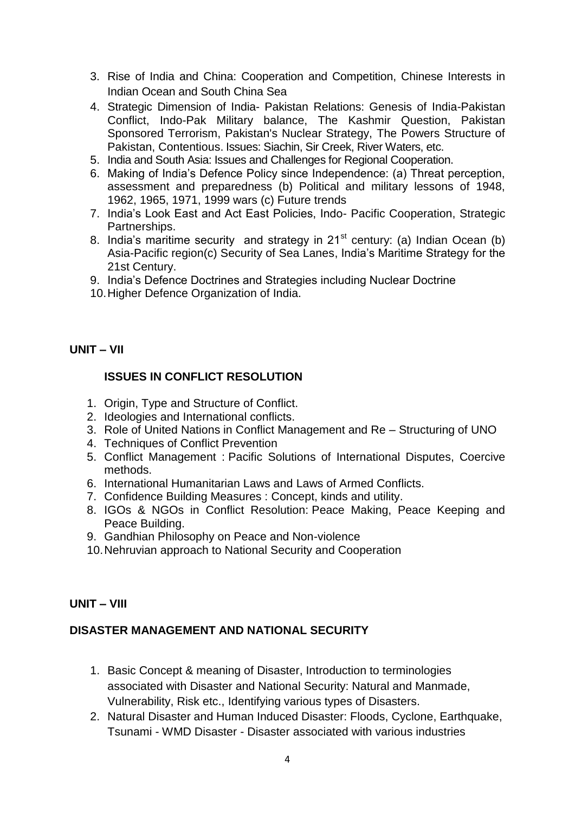- 3. Rise of India and China: Cooperation and Competition, Chinese Interests in Indian Ocean and South China Sea
- 4. Strategic Dimension of India- Pakistan Relations: Genesis of India-Pakistan Conflict, Indo-Pak Military balance, The Kashmir Question, Pakistan Sponsored Terrorism, Pakistan's Nuclear Strategy, The Powers Structure of Pakistan, Contentious. Issues: Siachin, Sir Creek, River Waters, etc.
- 5. India and South Asia: Issues and Challenges for Regional Cooperation.
- 6. Making of India's Defence Policy since Independence: (a) Threat perception, assessment and preparedness (b) Political and military lessons of 1948, 1962, 1965, 1971, 1999 wars (c) Future trends
- 7. India's Look East and Act East Policies, Indo- Pacific Cooperation, Strategic Partnerships.
- 8. India's maritime security and strategy in  $21<sup>st</sup>$  century: (a) Indian Ocean (b) Asia-Pacific region(c) Security of Sea Lanes, India's Maritime Strategy for the 21st Century.
- 9. India's Defence Doctrines and Strategies including Nuclear Doctrine
- 10.Higher Defence Organization of India.

#### **UNIT – VII**

#### **ISSUES IN CONFLICT RESOLUTION**

- 1. Origin, Type and Structure of Conflict.
- 2. Ideologies and International conflicts.
- 3. Role of United Nations in Conflict Management and Re Structuring of UNO
- 4. Techniques of Conflict Prevention
- 5. Conflict Management : Pacific Solutions of International Disputes, Coercive methods.
- 6. International Humanitarian Laws and Laws of Armed Conflicts.
- 7. Confidence Building Measures : Concept, kinds and utility.
- 8. IGOs & NGOs in Conflict Resolution: Peace Making, Peace Keeping and Peace Building.
- 9. Gandhian Philosophy on Peace and Non-violence
- 10.Nehruvian approach to National Security and Cooperation

#### **UNIT – VIII**

#### **DISASTER MANAGEMENT AND NATIONAL SECURITY**

- 1. Basic Concept & meaning of Disaster, Introduction to terminologies associated with Disaster and National Security: Natural and Manmade, Vulnerability, Risk etc., Identifying various types of Disasters.
- 2. Natural Disaster and Human Induced Disaster: Floods, Cyclone, Earthquake, Tsunami - WMD Disaster - Disaster associated with various industries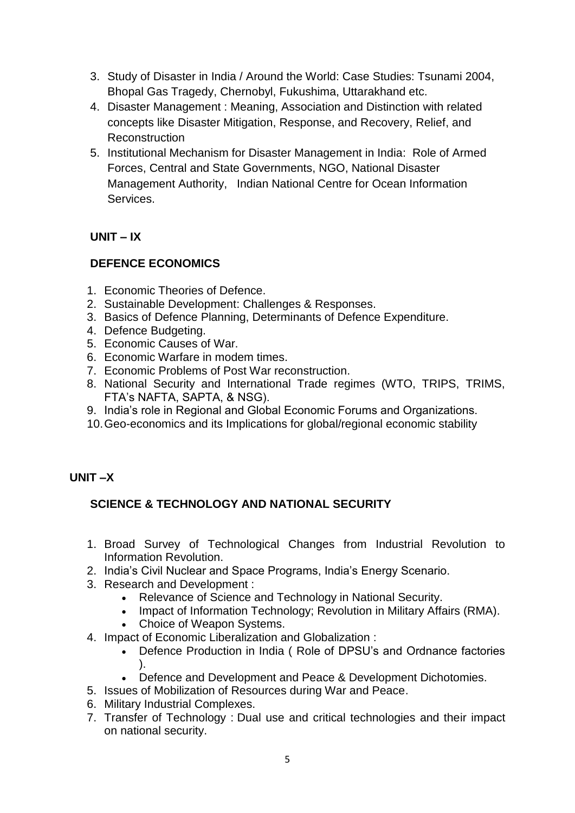- 3. Study of Disaster in India / Around the World: Case Studies: Tsunami 2004, Bhopal Gas Tragedy, Chernobyl, Fukushima, Uttarakhand etc.
- 4. Disaster Management : Meaning, Association and Distinction with related concepts like Disaster Mitigation, Response, and Recovery, Relief, and Reconstruction
- 5. Institutional Mechanism for Disaster Management in India: Role of Armed Forces, Central and State Governments, NGO, National Disaster Management Authority, Indian National Centre for Ocean Information **Services**

## **UNIT – IX**

## **DEFENCE ECONOMICS**

- 1. Economic Theories of Defence.
- 2. Sustainable Development: Challenges & Responses.
- 3. Basics of Defence Planning, Determinants of Defence Expenditure.
- 4. Defence Budgeting.
- 5. Economic Causes of War.
- 6. Economic Warfare in modem times.
- 7. Economic Problems of Post War reconstruction.
- 8. National Security and International Trade regimes (WTO, TRIPS, TRIMS, FTA's NAFTA, SAPTA, & NSG).
- 9. India's role in Regional and Global Economic Forums and Organizations.
- 10.Geo-economics and its Implications for global/regional economic stability

## **UNIT –X**

## **SCIENCE & TECHNOLOGY AND NATIONAL SECURITY**

- 1. Broad Survey of Technological Changes from Industrial Revolution to Information Revolution.
- 2. India's Civil Nuclear and Space Programs, India's Energy Scenario.
- 3. Research and Development :
	- Relevance of Science and Technology in National Security.
	- Impact of Information Technology; Revolution in Military Affairs (RMA).
	- Choice of Weapon Systems.
- 4. Impact of Economic Liberalization and Globalization :
	- Defence Production in India ( Role of DPSU's and Ordnance factories ).
	- Defence and Development and Peace & Development Dichotomies.
- 5. Issues of Mobilization of Resources during War and Peace.
- 6. Military Industrial Complexes.
- 7. Transfer of Technology : Dual use and critical technologies and their impact on national security.